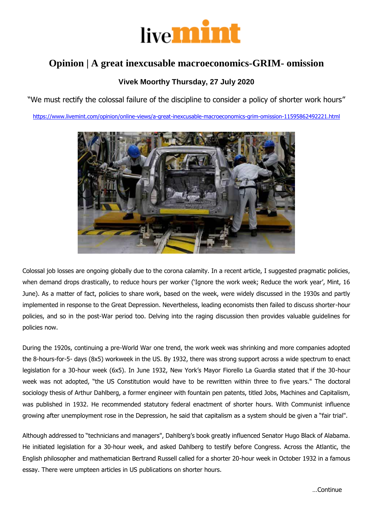

## **Opinion | A great inexcusable macroeconomics-GRIM- omission**

## **Vivek Moorthy Thursday, 27 July 2020**

"We must rectify the colossal failure of the discipline to consider a policy of shorter work hours"

<https://www.livemint.com/opinion/online-views/a-great-inexcusable-macroeconomics-grim-omission-11595862492221.html>



Colossal job losses are ongoing globally due to the corona calamity. In a recent article, I suggested pragmatic policies, when demand drops drastically, to reduce hours per worker ('Ignore the work week; Reduce the work year', Mint, 16 June). As a matter of fact, policies to share work, based on the week, were widely discussed in the 1930s and partly implemented in response to the Great Depression. Nevertheless, leading economists then failed to discuss shorter-hour policies, and so in the post-War period too. Delving into the raging discussion then provides valuable guidelines for policies now.

During the 1920s, continuing a pre-World War one trend, the work week was shrinking and more companies adopted the 8-hours-for-5- days (8x5) workweek in the US. By 1932, there was strong support across a wide spectrum to enact legislation for a 30-hour week (6x5). In June 1932, New York's Mayor Fiorello La Guardia stated that if the 30-hour week was not adopted, "the US Constitution would have to be rewritten within three to five years." The doctoral sociology thesis of Arthur Dahlberg, a former engineer with fountain pen patents, titled Jobs, Machines and Capitalism, was published in 1932. He recommended statutory federal enactment of shorter hours. With Communist influence growing after unemployment rose in the Depression, he said that capitalism as a system should be given a "fair trial".

Although addressed to "technicians and managers", Dahlberg's book greatly influenced Senator Hugo Black of Alabama. He initiated legislation for a 30-hour week, and asked Dahlberg to testify before Congress. Across the Atlantic, the English philosopher and mathematician Bertrand Russell called for a shorter 20-hour week in October 1932 in a famous essay. There were umpteen articles in US publications on shorter hours.